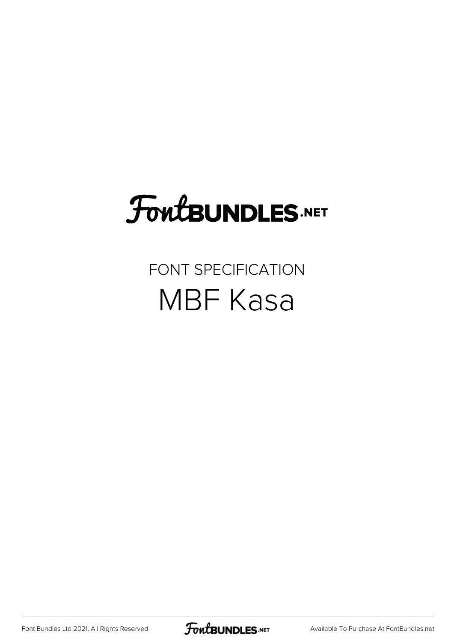# FoutBUNDLES.NET

#### FONT SPECIFICATION MBF Kasa

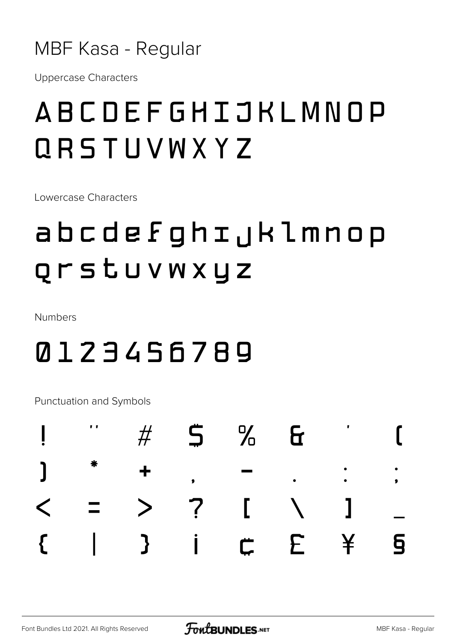

**Uppercase Characters** 

### ABCDEFGHIJKLMNOP QRSTUVWXYZ

Lowercase Characters

## abcdefghijklmnop Qrstuvwxyz

Numbers

#### 0123456789

**Punctuation and Symbols** 

|  |  | $<$ = > ? [ \ ] _ |  |  |
|--|--|-------------------|--|--|
|  |  |                   |  |  |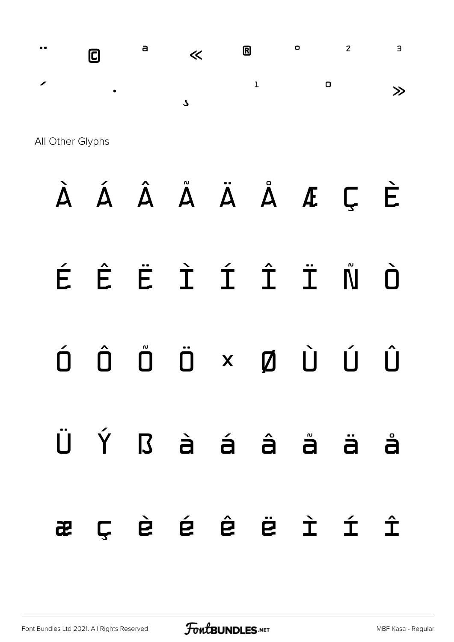$\blacksquare$  $\bullet$  $\overline{z}$  $\overline{a}$  $\bullet$ a 0  $\ll$  $\mathbf 1$  $\mathbf 0$  $\gg$  $\mathbf{z}$ 

All Other Glyphs

# À Á Â Å Ä Å Å Æ Ç È

#### ÉÊËÌÍÎÏÑ Ò

#### $\hat{D}$   $\hat{D}$  $\hat{\Pi}$ ÖXØÙÚ  $\hat{\mathsf{U}}$

Ýßàá Ü. â å  $\ddot{a}$ å Ç è é ê ë ì í  $\mathbf{\hat{\mathbf{\mathbf{\Gamma}}}}$ æ